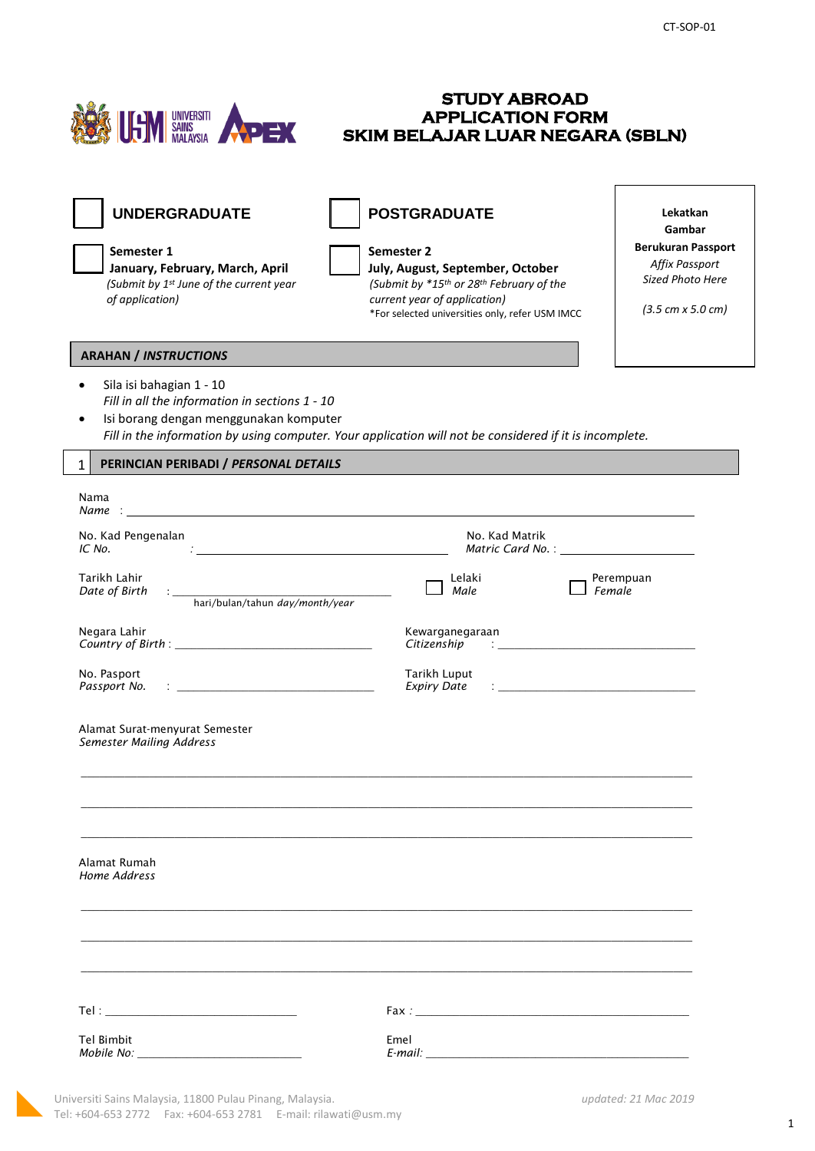**STUDY ABROAD** 

| <b>UNDERGRADUATE</b><br>Semester 1<br>January, February, March, April<br>(Submit by 1st June of the current year<br>of application)                                                                                                                                                       | <b>POSTGRADUATE</b><br>Semester 2<br>July, August, September, October<br>(Submit by *15th or 28th February of the<br>current year of application)<br>*For selected universities only, refer USM IMCC |                                                                                                                                                                                                                                   | Lekatkan<br>Gambar<br><b>Berukuran Passport</b><br>Affix Passport<br>Sized Photo Here<br>$(3.5 \text{ cm} \times 5.0 \text{ cm})$ |
|-------------------------------------------------------------------------------------------------------------------------------------------------------------------------------------------------------------------------------------------------------------------------------------------|------------------------------------------------------------------------------------------------------------------------------------------------------------------------------------------------------|-----------------------------------------------------------------------------------------------------------------------------------------------------------------------------------------------------------------------------------|-----------------------------------------------------------------------------------------------------------------------------------|
| <b>ARAHAN / INSTRUCTIONS</b><br>Sila isi bahagian 1 - 10<br>$\bullet$<br>Fill in all the information in sections 1 - 10<br>Isi borang dengan menggunakan komputer<br>$\bullet$<br>Fill in the information by using computer. Your application will not be considered if it is incomplete. |                                                                                                                                                                                                      |                                                                                                                                                                                                                                   |                                                                                                                                   |
| PERINCIAN PERIBADI / PERSONAL DETAILS<br>$\mathbf{1}$                                                                                                                                                                                                                                     |                                                                                                                                                                                                      |                                                                                                                                                                                                                                   |                                                                                                                                   |
| Nama<br>Name :                                                                                                                                                                                                                                                                            |                                                                                                                                                                                                      |                                                                                                                                                                                                                                   |                                                                                                                                   |
| No. Kad Pengenalan<br><u> 1980 - Jan Barbara Barat, manala</u><br>IC No.                                                                                                                                                                                                                  | No. Kad Matrik                                                                                                                                                                                       |                                                                                                                                                                                                                                   |                                                                                                                                   |
| Tarikh Lahir<br>Date of Birth<br>hari/bulan/tahun day/month/year                                                                                                                                                                                                                          | Lelaki<br>Male                                                                                                                                                                                       | Female                                                                                                                                                                                                                            | Perempuan                                                                                                                         |
| Negara Lahir                                                                                                                                                                                                                                                                              | Kewarganegaraan<br>Citizenship                                                                                                                                                                       | $\mathbf{r}$ and the set of the set of the set of the set of the set of the set of the set of the set of the set of the set of the set of the set of the set of the set of the set of the set of the set of the set of the set of |                                                                                                                                   |
| No. Pasport<br>Passport No.<br>the control of the control of the control of the control of the control of the control of                                                                                                                                                                  | Tarikh Luput<br><b>Expiry Date</b>                                                                                                                                                                   | the control of the control of the control of the control of the control of                                                                                                                                                        |                                                                                                                                   |
| Alamat Surat-menyurat Semester<br><b>Semester Mailing Address</b>                                                                                                                                                                                                                         |                                                                                                                                                                                                      |                                                                                                                                                                                                                                   |                                                                                                                                   |
| Alamat Rumah<br>Home Address                                                                                                                                                                                                                                                              |                                                                                                                                                                                                      |                                                                                                                                                                                                                                   |                                                                                                                                   |
|                                                                                                                                                                                                                                                                                           |                                                                                                                                                                                                      |                                                                                                                                                                                                                                   |                                                                                                                                   |
|                                                                                                                                                                                                                                                                                           |                                                                                                                                                                                                      |                                                                                                                                                                                                                                   |                                                                                                                                   |
| Tel Bimbit                                                                                                                                                                                                                                                                                | Emel                                                                                                                                                                                                 |                                                                                                                                                                                                                                   |                                                                                                                                   |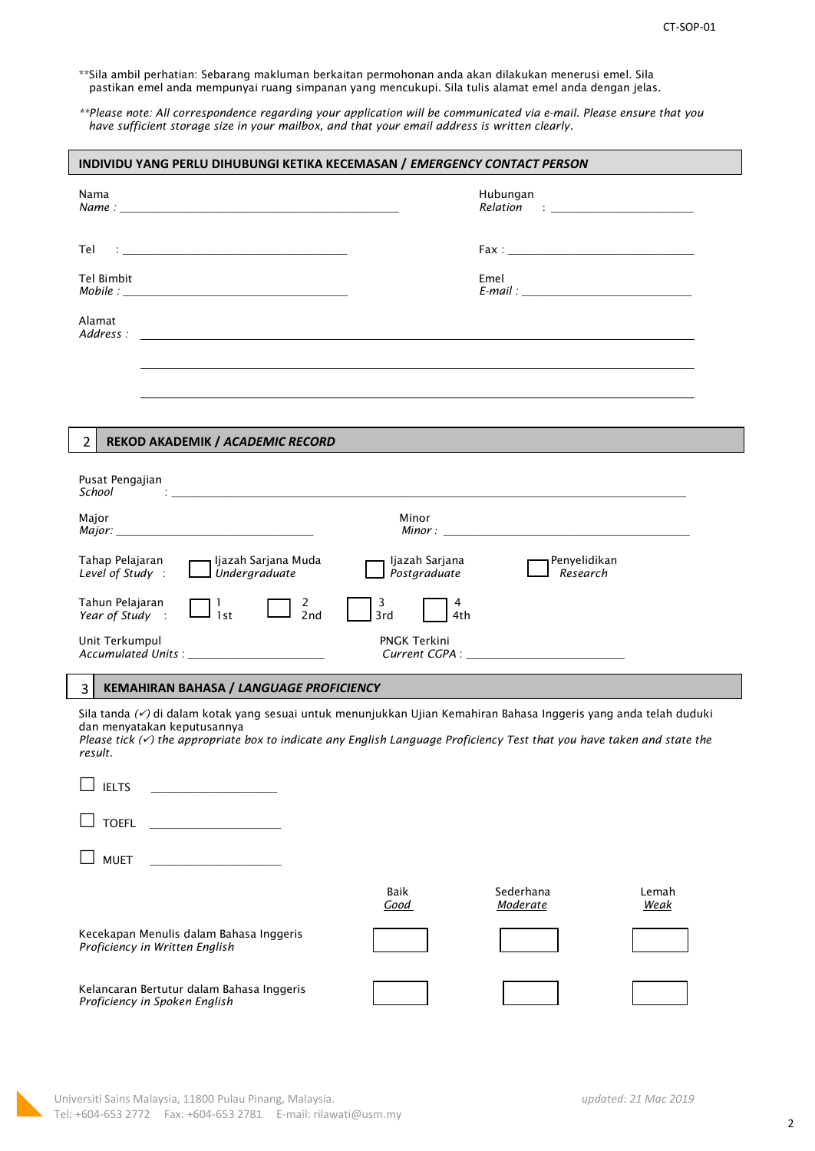\*\*Sila ambil perhatian: Sebarang makluman berkaitan permohonan anda akan dilakukan menerusi emel. Sila pastikan emel anda mempunyai ruang simpanan yang mencukupi. Sila tulis alamat emel anda dengan jelas.

*\*\*Please note: All correspondence regarding your application will be communicated via e-mail. Please ensure that you have sufficient storage size in your mailbox, and that your email address is written clearly.*

| Nama                                                                                                                                                                                                                                                                                              |                                | Hubungan<br>$\textit{Relation} \quad : \underline{\quad \quad \quad \quad }$ |  |
|---------------------------------------------------------------------------------------------------------------------------------------------------------------------------------------------------------------------------------------------------------------------------------------------------|--------------------------------|------------------------------------------------------------------------------|--|
| Tel                                                                                                                                                                                                                                                                                               |                                |                                                                              |  |
| Tel Bimbit                                                                                                                                                                                                                                                                                        |                                | Emel                                                                         |  |
| Alamat<br>$Address: \_\_\_\_\_\_\_$                                                                                                                                                                                                                                                               |                                |                                                                              |  |
|                                                                                                                                                                                                                                                                                                   |                                |                                                                              |  |
|                                                                                                                                                                                                                                                                                                   |                                |                                                                              |  |
| $\overline{2}$<br>REKOD AKADEMIK / ACADEMIC RECORD                                                                                                                                                                                                                                                |                                |                                                                              |  |
| Pusat Pengajian<br>School School<br><u> 1980 - John Stein, Amerikaansk politiker (* 1950)</u>                                                                                                                                                                                                     |                                |                                                                              |  |
| Major                                                                                                                                                                                                                                                                                             | Minor                          |                                                                              |  |
| Tahap Pelajaran<br>Ijazah Sarjana Muda<br>$\Box$ Undergraduate<br>Level of Study:                                                                                                                                                                                                                 | Ijazah Sarjana<br>Postgraduate | Penyelidikan<br>$\sf J$ Research                                             |  |
| Tahun Pelajaran<br>$\Box$ $_{2nd}^2$<br>$\prod_{1st}$<br>Year of Study:                                                                                                                                                                                                                           | 3<br>4<br>3rd<br>4th           |                                                                              |  |
| Unit Terkumpul<br>Accumulated Units : ______________________                                                                                                                                                                                                                                      | PNGK Terkini                   |                                                                              |  |
| 3<br><b>KEMAHIRAN BAHASA / LANGUAGE PROFICIENCY</b>                                                                                                                                                                                                                                               |                                |                                                                              |  |
| Sila tanda (√) di dalam kotak yang sesuai untuk menunjukkan Ujian Kemahiran Bahasa Inggeris yang anda telah duduki<br>dan menyatakan keputusannya<br>Please tick $(\check{r})$ the appropriate box to indicate any English Language Proficiency Test that you have taken and state the<br>result. |                                |                                                                              |  |
| <b>IELTS</b>                                                                                                                                                                                                                                                                                      |                                |                                                                              |  |
| <b>TOEFL</b>                                                                                                                                                                                                                                                                                      |                                |                                                                              |  |
| <b>MUET</b>                                                                                                                                                                                                                                                                                       |                                |                                                                              |  |
|                                                                                                                                                                                                                                                                                                   | Baik<br>Good                   | Sederhana<br>Lemah<br>Moderate<br>Weak                                       |  |
|                                                                                                                                                                                                                                                                                                   |                                |                                                                              |  |
| Kecekapan Menulis dalam Bahasa Inggeris<br>Proficiency in Written English                                                                                                                                                                                                                         |                                |                                                                              |  |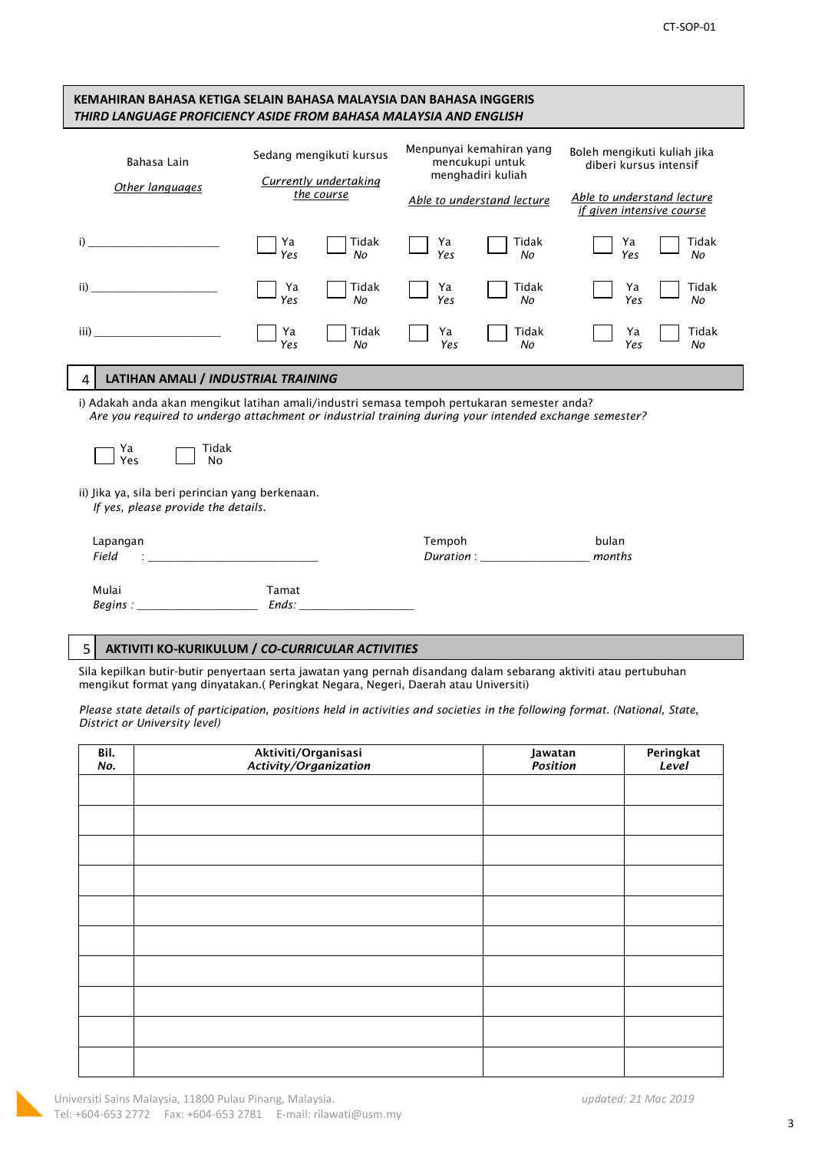| KEMAHIRAN BAHASA KETIGA SELAIN BAHASA MALAYSIA DAN BAHASA INGGERIS<br>THIRD LANGUAGE PROFICIENCY ASIDE FROM BAHASA MALAYSIA AND ENGLISH                                                              |                |                                                                       |           |                                                                                                                 |                                                                                                                  |             |  |
|------------------------------------------------------------------------------------------------------------------------------------------------------------------------------------------------------|----------------|-----------------------------------------------------------------------|-----------|-----------------------------------------------------------------------------------------------------------------|------------------------------------------------------------------------------------------------------------------|-------------|--|
| Bahasa Lain<br>Other languages                                                                                                                                                                       |                | Sedang mengikuti kursus<br><b>Currently undertaking</b><br>the course |           | Menpunyai kemahiran yang<br>mencukupi untuk<br>menghadiri kuliah<br>Able to understand lecture                  | Boleh mengikuti kuliah jika<br>diberi kursus intensif<br>Able to understand lecture<br>if given intensive course |             |  |
| i)                                                                                                                                                                                                   | Ya<br>Yes      | Tidak<br>No                                                           | Ya<br>Yes | Tidak<br>No                                                                                                     | Ya<br>Yes                                                                                                        | Tidak<br>No |  |
| ii)                                                                                                                                                                                                  | Ya<br>Yes      | Tidak<br>No                                                           | Ya<br>Yes | Tidak<br>No                                                                                                     | Ya<br>Yes                                                                                                        | Tidak<br>No |  |
| iii)                                                                                                                                                                                                 | Ya<br>Yes      | Tidak<br>No                                                           | Ya<br>Yes | Tidak<br>No                                                                                                     | Ya<br>Yes                                                                                                        | Tidak<br>No |  |
| LATIHAN AMALI / INDUSTRIAL TRAINING<br>4                                                                                                                                                             |                |                                                                       |           |                                                                                                                 |                                                                                                                  |             |  |
| i) Adakah anda akan mengikut latihan amali/industri semasa tempoh pertukaran semester anda?<br>Are you required to undergo attachment or industrial training during your intended exchange semester? |                |                                                                       |           |                                                                                                                 |                                                                                                                  |             |  |
| Ya<br>Tidak<br>Yes<br><b>No</b>                                                                                                                                                                      |                |                                                                       |           |                                                                                                                 |                                                                                                                  |             |  |
| ii) Jika ya, sila beri perincian yang berkenaan.<br>If yes, please provide the details.                                                                                                              |                |                                                                       |           |                                                                                                                 |                                                                                                                  |             |  |
| Lapangan<br>Field                                                                                                                                                                                    |                |                                                                       | Tempoh    | Duration : and the state of the state of the state of the state of the state of the state of the state of the s | bulan<br>months                                                                                                  |             |  |
| Mulai<br>Begins:                                                                                                                                                                                     | Tamat<br>Ends: |                                                                       |           |                                                                                                                 |                                                                                                                  |             |  |

## 5 **AKTIVITI KO-KURIKULUM /** *CO-CURRICULAR ACTIVITIES*

Sila kepilkan butir-butir penyertaan serta jawatan yang pernah disandang dalam sebarang aktiviti atau pertubuhan mengikut format yang dinyatakan.( Peringkat Negara, Negeri, Daerah atau Universiti)

*Please state details of participation, positions held in activities and societies in the following format. (National, State, District or University level)*

| Bil.<br>No. | Aktiviti/Organisasi<br>Activity/Organization | Jawatan<br><i>Position</i> | Peringkat<br>Level |
|-------------|----------------------------------------------|----------------------------|--------------------|
|             |                                              |                            |                    |
|             |                                              |                            |                    |
|             |                                              |                            |                    |
|             |                                              |                            |                    |
|             |                                              |                            |                    |
|             |                                              |                            |                    |
|             |                                              |                            |                    |
|             |                                              |                            |                    |
|             |                                              |                            |                    |
|             |                                              |                            |                    |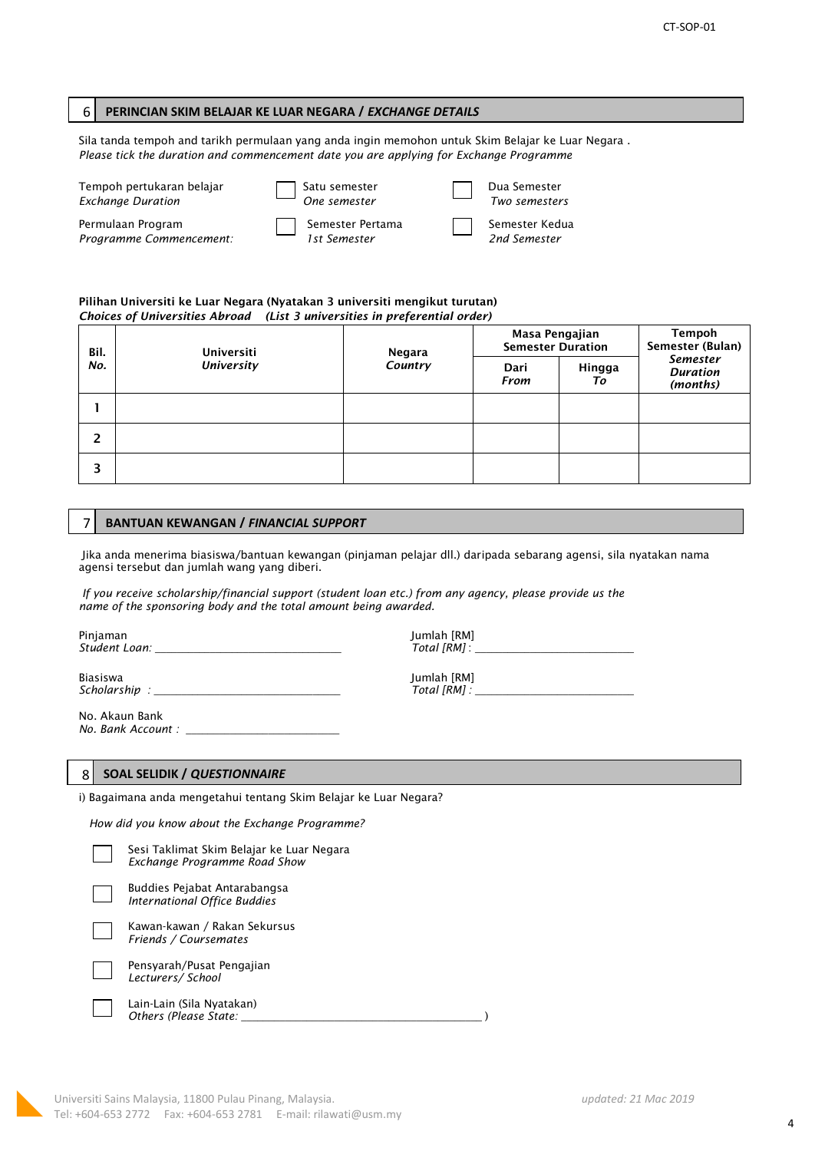### 6 **PERINCIAN SKIM BELAJAR KE LUAR NEGARA /** *EXCHANGE DETAILS*

Sila tanda tempoh and tarikh permulaan yang anda ingin memohon untuk Skim Belajar ke Luar Negara . *Please tick the duration and commencement date you are applying for Exchange Programme*

| Tempoh pertukaran belajar<br><b>Exchange Duration</b> | ] Satu semester<br><i>One semester</i> | Dua Semester<br>Two semesters  |
|-------------------------------------------------------|----------------------------------------|--------------------------------|
| Permulaan Program<br>Programme Commencement:          | Semester Pertama<br>1st Semester       | Semester Kedua<br>2nd Semester |

#### **Pilihan Universiti ke Luar Negara (Nyatakan 3 universiti mengikut turutan)** *Choices of Universities Abroad (List 3 universities in preferential order)*

| Bil.                     | <b>Universiti</b> | Negara       | Masa Pengajian<br><b>Semester Duration</b> |  | Tempoh<br>Semester (Bulan)<br><b>Semester</b><br><b>Duration</b><br>(months) |
|--------------------------|-------------------|--------------|--------------------------------------------|--|------------------------------------------------------------------------------|
| <b>University</b><br>No. | Country           | Dari<br>From | Hingga<br>Τo                               |  |                                                                              |
|                          |                   |              |                                            |  |                                                                              |
| 2                        |                   |              |                                            |  |                                                                              |
|                          |                   |              |                                            |  |                                                                              |

### 7 **BANTUAN KEWANGAN /** *FINANCIAL SUPPORT*

Jika anda menerima biasiswa/bantuan kewangan (pinjaman pelajar dll.) daripada sebarang agensi, sila nyatakan nama agensi tersebut dan jumlah wang yang diberi.

*If you receive scholarship/financial support (student loan etc.) from any agency, please provide us the name of the sponsoring body and the total amount being awarded.*

Pinjaman Jumlah [RM] *Student Loan: \_\_\_\_\_\_\_\_\_\_\_\_\_\_\_\_\_\_\_\_\_\_\_\_\_\_\_\_\_\_\_\_\_\_ Total [RM]* : *\_\_\_\_\_\_\_\_\_\_\_\_\_\_\_\_\_\_\_\_\_\_\_\_\_\_\_\_\_*

Biasiswa Jumlah [RM] *Scholarship : \_\_\_\_\_\_\_\_\_\_\_\_\_\_\_\_\_\_\_\_\_\_\_\_\_\_\_\_\_\_\_\_\_\_ Total [RM] : \_\_\_\_\_\_\_\_\_\_\_\_\_\_\_\_\_\_\_\_\_\_\_\_\_\_\_\_\_*

No. Akaun Bank *No. Bank Account : \_\_\_\_\_\_\_\_\_\_\_\_\_\_\_\_\_\_\_\_\_\_\_\_\_\_\_\_*

#### 8 **SOAL SELIDIK /** *QUESTIONNAIRE*

i) Bagaimana anda mengetahui tentang Skim Belajar ke Luar Negara?

*How did you know about the Exchange Programme?*



 Buddies Pejabat Antarabangsa *International Office Buddies*



 Kawan-kawan / Rakan Sekursus *Friends / Coursemates* Pensyarah/Pusat Pengajian

 *Lecturers/ School* 

 Lain-Lain (Sila Nyatakan) *Others (Please State:* \_\_\_\_\_\_\_\_\_\_\_\_\_\_\_\_\_\_\_\_\_\_\_\_\_\_\_\_\_\_\_\_\_\_\_\_\_\_\_\_\_\_\_\_ )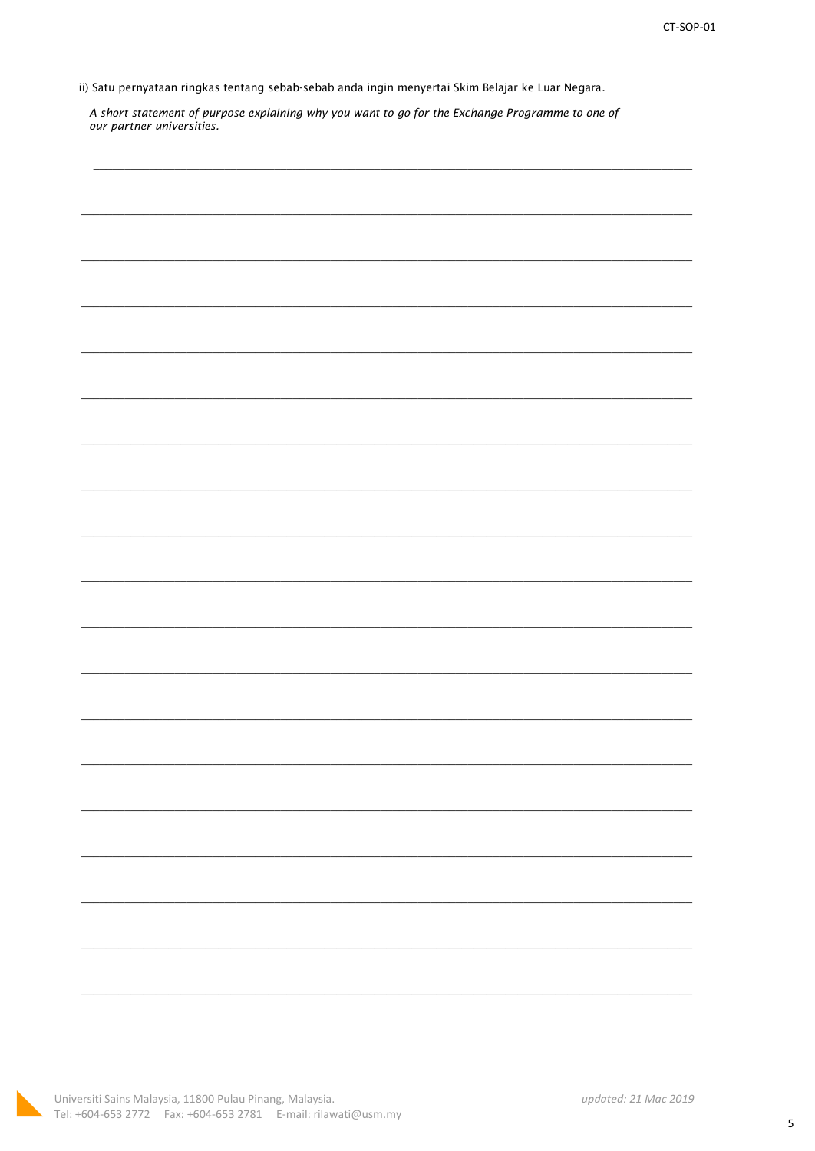ii) Satu pernyataan ringkas tentang sebab-sebab anda ingin menyertai Skim Belajar ke Luar Negara.

A short statement of purpose explaining why you want to go for the Exchange Programme to one of our partner universities.

|  |  | $\overline{\phantom{0}}$ |
|--|--|--------------------------|
|  |  |                          |
|  |  |                          |
|  |  |                          |
|  |  |                          |
|  |  |                          |
|  |  |                          |
|  |  |                          |
|  |  |                          |
|  |  |                          |
|  |  |                          |